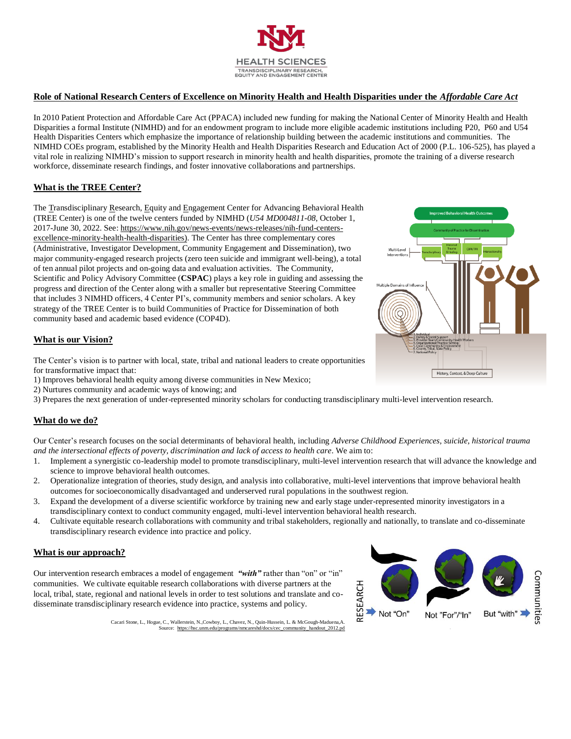

# **Role of National Research Centers of Excellence on Minority Health and Health Disparities under the** *Affordable Care Act*

In 2010 Patient Protection and Affordable Care Act (PPACA) included new funding for making the National Center of Minority Health and Health Disparities a formal Institute (NIMHD) and for an endowment program to include more eligible academic institutions including P20, P60 and U54 Health Disparities Centers which emphasize the importance of relationship building between the academic institutions and communities. The NIMHD COEs program, established by the Minority Health and Health Disparities Research and Education Act of 2000 (P.L. 106-525), has played a vital role in realizing NIMHD's mission to support research in minority health and health disparities, promote the training of a diverse research workforce, disseminate research findings, and foster innovative collaborations and partnerships.

# **What is the TREE Center?**

The Transdisciplinary Research, Equity and Engagement Center for Advancing Behavioral Health (TREE Center) is one of the twelve centers funded by NIMHD (*U54 MD004811-08*, October 1, 2017-June 30, 2022. See[: https://www.nih.gov/news-events/news-releases/nih-fund-centers](https://www.nih.gov/news-events/news-releases/nih-fund-centers-excellence-minority-health-health-disparities))[excellence-minority-health-health-disparities\).](https://www.nih.gov/news-events/news-releases/nih-fund-centers-excellence-minority-health-health-disparities)) The Center has three complementary cores (Administrative, Investigator Development, Community Engagement and Dissemination), two major community-engaged research projects (zero teen suicide and immigrant well-being), a total of ten annual pilot projects and on-going data and evaluation activities. The Community, Scientific and Policy Advisory Committee (**CSPAC**) plays a key role in guiding and assessing the progress and direction of the Center along with a smaller but representative Steering Committee that includes 3 NIMHD officers, 4 Center PI's, community members and senior scholars. A key strategy of the TREE Center is to build Communities of Practice for Dissemination of both community based and academic based evidence (COP4D).

### **What is our Vision?**

The Center's vision is to partner with local, state, tribal and national leaders to create opportunities for transformative impact that:

- 1) Improves behavioral health equity among diverse communities in New Mexico;
- 2) Nurtures community and academic ways of knowing; and
- 3) Prepares the next generation of under-represented minority scholars for conducting transdisciplinary multi-level intervention research.

### **What do we do?**

Our Center's research focuses on the social determinants of behavioral health, including *Adverse Childhood Experiences, suicide, historical trauma and the intersectional effects of poverty, discrimination and lack of access to health care*. We aim to:

- 1. Implement a synergistic co-leadership model to promote transdisciplinary, multi-level intervention research that will advance the knowledge and science to improve behavioral health outcomes.
- 2. Operationalize integration of theories, study design, and analysis into collaborative, multi-level interventions that improve behavioral health outcomes for socioeconomically disadvantaged and underserved rural populations in the southwest region.
- 3. Expand the development of a diverse scientific workforce by training new and early stage under-represented minority investigators in a transdisciplinary context to conduct community engaged, multi-level intervention behavioral health research.
- 4. Cultivate equitable research collaborations with community and tribal stakeholders, regionally and nationally, to translate and co-disseminate transdisciplinary research evidence into practice and policy.

### **What is our approach?**

Our intervention research embraces a model of engagement *"with"* rather than "on" or "in" communities. We cultivate equitable research collaborations with diverse partners at the local, tribal, state, regional and national levels in order to test solutions and translate and codisseminate transdisciplinary research evidence into practice, systems and policy.



Cacari Stone, L., Hogue, C., Wallerstein, N.,Cowboy, L., Chavez, N., Quin-Hussein, L. & McGough-Maduena,A.<br>Source: [https://hsc.unm.edu/programs/nmcareshd/docs/cec\\_community\\_handout\\_2012.pd](https://hsc.unm.edu/programs/nmcareshd/docs/cec_community_handout_2012.pd)